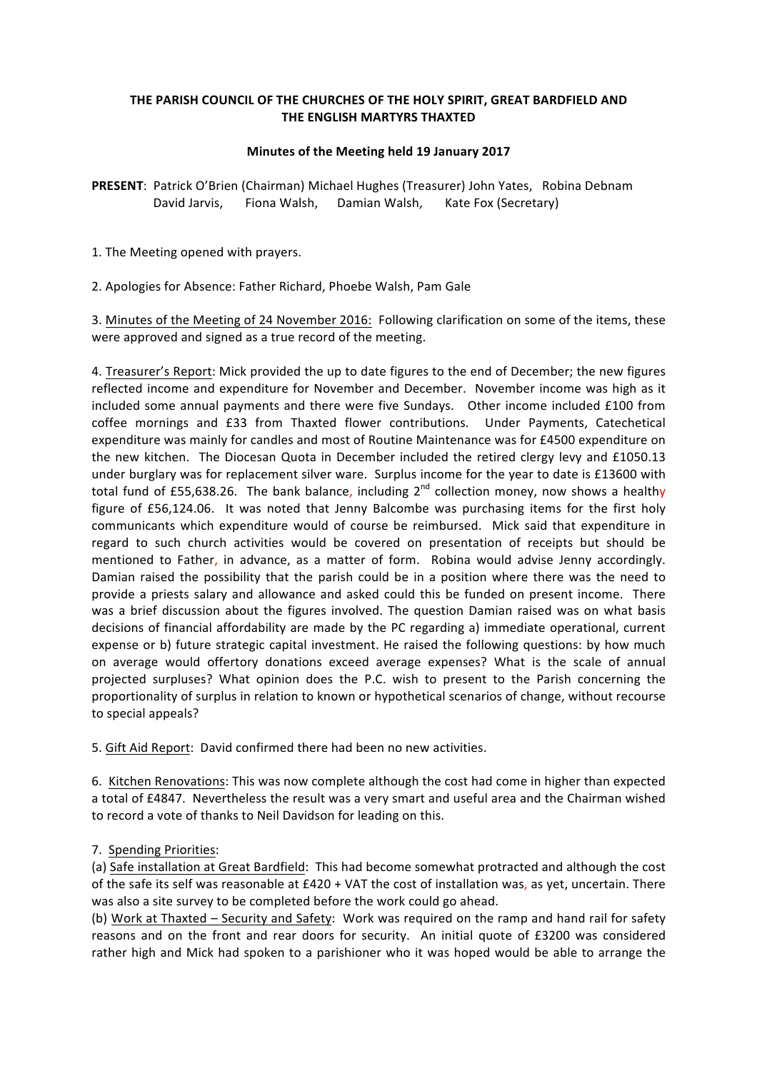## THE PARISH COUNCIL OF THE CHURCHES OF THE HOLY SPIRIT, GREAT BARDFIELD AND **THE ENGLISH MARTYRS THAXTED**

## **Minutes of the Meeting held 19 January 2017**

**PRESENT:** Patrick O'Brien (Chairman) Michael Hughes (Treasurer) John Yates, Robina Debnam David Jarvis, Fiona Walsh, Damian Walsh, Kate Fox (Secretary)

1. The Meeting opened with prayers.

2. Apologies for Absence: Father Richard, Phoebe Walsh, Pam Gale

3. Minutes of the Meeting of 24 November 2016: Following clarification on some of the items, these were approved and signed as a true record of the meeting.

4. Treasurer's Report: Mick provided the up to date figures to the end of December; the new figures reflected income and expenditure for November and December. November income was high as it included some annual payments and there were five Sundays. Other income included £100 from coffee mornings and £33 from Thaxted flower contributions. Under Payments, Catechetical expenditure was mainly for candles and most of Routine Maintenance was for £4500 expenditure on the new kitchen. The Diocesan Quota in December included the retired clergy levy and £1050.13 under burglary was for replacement silver ware. Surplus income for the year to date is £13600 with total fund of £55,638.26. The bank balance, including  $2^{nd}$  collection money, now shows a healthy figure of  $£56,124.06$ . It was noted that Jenny Balcombe was purchasing items for the first holy communicants which expenditure would of course be reimbursed. Mick said that expenditure in regard to such church activities would be covered on presentation of receipts but should be mentioned to Father, in advance, as a matter of form. Robina would advise Jenny accordingly. Damian raised the possibility that the parish could be in a position where there was the need to provide a priests salary and allowance and asked could this be funded on present income. There was a brief discussion about the figures involved. The question Damian raised was on what basis decisions of financial affordability are made by the PC regarding a) immediate operational, current expense or b) future strategic capital investment. He raised the following questions: by how much on average would offertory donations exceed average expenses? What is the scale of annual projected surpluses? What opinion does the P.C. wish to present to the Parish concerning the proportionality of surplus in relation to known or hypothetical scenarios of change, without recourse to special appeals?

5. Gift Aid Report: David confirmed there had been no new activities.

6. Kitchen Renovations: This was now complete although the cost had come in higher than expected a total of £4847. Nevertheless the result was a very smart and useful area and the Chairman wished to record a vote of thanks to Neil Davidson for leading on this.

## 7. Spending Priorities:

(a) Safe installation at Great Bardfield: This had become somewhat protracted and although the cost of the safe its self was reasonable at  $£420 + VAT$  the cost of installation was, as yet, uncertain. There was also a site survey to be completed before the work could go ahead.

(b) Work at Thaxted – Security and Safety: Work was required on the ramp and hand rail for safety reasons and on the front and rear doors for security. An initial quote of £3200 was considered rather high and Mick had spoken to a parishioner who it was hoped would be able to arrange the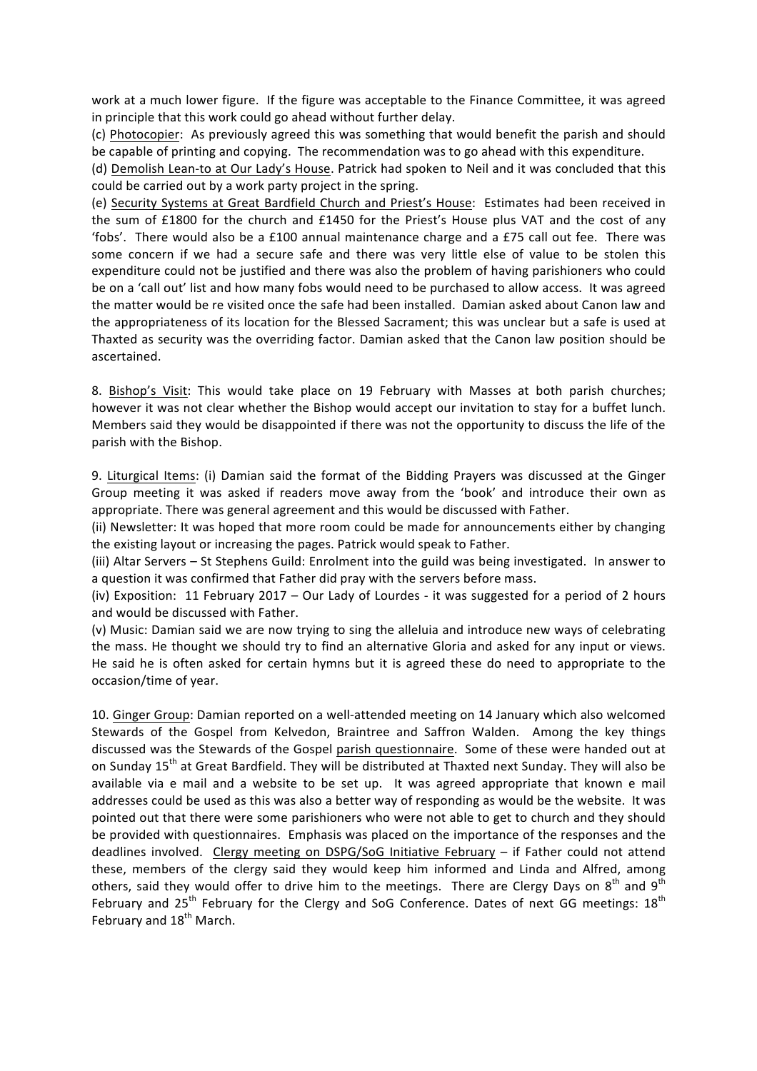work at a much lower figure. If the figure was acceptable to the Finance Committee, it was agreed in principle that this work could go ahead without further delay.

(c) Photocopier: As previously agreed this was something that would benefit the parish and should be capable of printing and copying. The recommendation was to go ahead with this expenditure.

(d) Demolish Lean-to at Our Lady's House. Patrick had spoken to Neil and it was concluded that this could be carried out by a work party project in the spring.

(e) Security Systems at Great Bardfield Church and Priest's House: Estimates had been received in the sum of £1800 for the church and £1450 for the Priest's House plus VAT and the cost of any 'fobs'. There would also be a £100 annual maintenance charge and a £75 call out fee. There was some concern if we had a secure safe and there was very little else of value to be stolen this expenditure could not be justified and there was also the problem of having parishioners who could be on a 'call out' list and how many fobs would need to be purchased to allow access. It was agreed the matter would be re visited once the safe had been installed. Damian asked about Canon law and the appropriateness of its location for the Blessed Sacrament; this was unclear but a safe is used at Thaxted as security was the overriding factor. Damian asked that the Canon law position should be ascertained. 

8. Bishop's Visit: This would take place on 19 February with Masses at both parish churches; however it was not clear whether the Bishop would accept our invitation to stay for a buffet lunch. Members said they would be disappointed if there was not the opportunity to discuss the life of the parish with the Bishop.

9. Liturgical Items: (i) Damian said the format of the Bidding Prayers was discussed at the Ginger Group meeting it was asked if readers move away from the 'book' and introduce their own as appropriate. There was general agreement and this would be discussed with Father.

(ii) Newsletter: It was hoped that more room could be made for announcements either by changing the existing layout or increasing the pages. Patrick would speak to Father.

(iii) Altar Servers - St Stephens Guild: Enrolment into the guild was being investigated. In answer to a question it was confirmed that Father did pray with the servers before mass.

(iv) Exposition: 11 February 2017 – Our Lady of Lourdes - it was suggested for a period of 2 hours and would be discussed with Father.

(v) Music: Damian said we are now trying to sing the alleluia and introduce new ways of celebrating the mass. He thought we should try to find an alternative Gloria and asked for any input or views. He said he is often asked for certain hymns but it is agreed these do need to appropriate to the occasion/time of year.

10. Ginger Group: Damian reported on a well-attended meeting on 14 January which also welcomed Stewards of the Gospel from Kelvedon, Braintree and Saffron Walden. Among the key things discussed was the Stewards of the Gospel parish questionnaire. Some of these were handed out at on Sunday 15<sup>th</sup> at Great Bardfield. They will be distributed at Thaxted next Sunday. They will also be available via e mail and a website to be set up. It was agreed appropriate that known e mail addresses could be used as this was also a better way of responding as would be the website. It was pointed out that there were some parishioners who were not able to get to church and they should be provided with questionnaires. Emphasis was placed on the importance of the responses and the deadlines involved. Clergy meeting on DSPG/SoG Initiative February  $-$  if Father could not attend these, members of the clergy said they would keep him informed and Linda and Alfred, among others, said they would offer to drive him to the meetings. There are Clergy Days on  $8^{th}$  and  $9^{th}$ February and  $25^{th}$  February for the Clergy and SoG Conference. Dates of next GG meetings:  $18^{th}$ February and 18<sup>th</sup> March.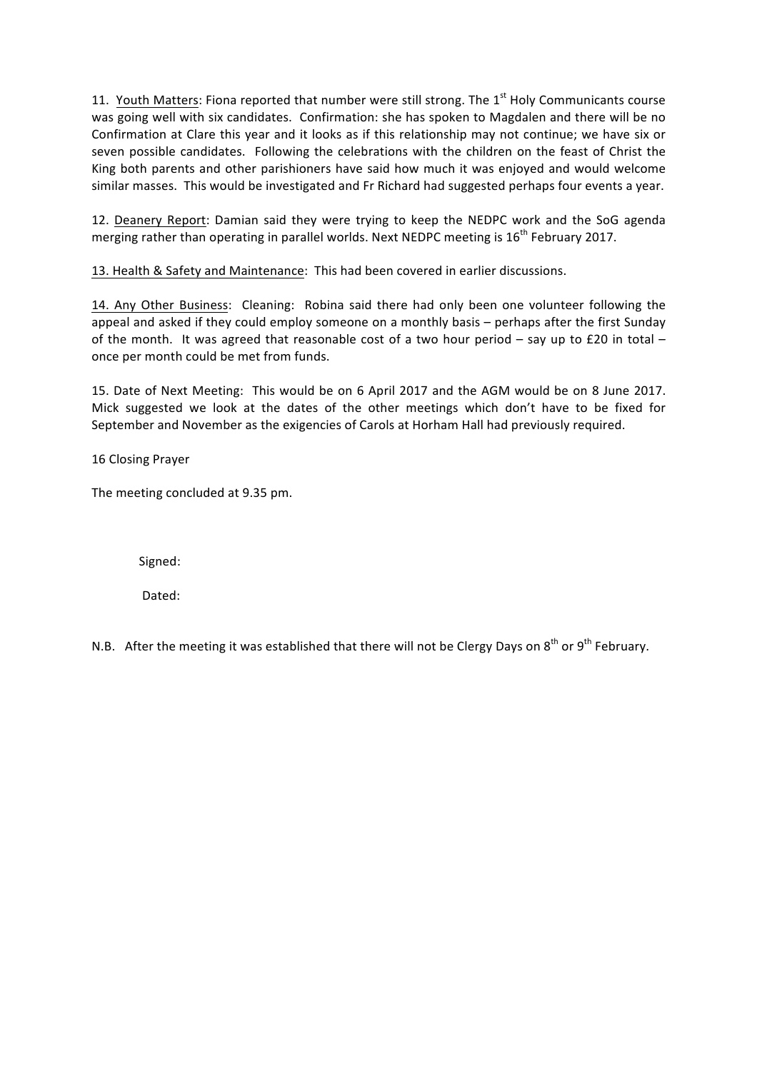11. Youth Matters: Fiona reported that number were still strong. The  $1<sup>st</sup>$  Holy Communicants course was going well with six candidates. Confirmation: she has spoken to Magdalen and there will be no Confirmation at Clare this year and it looks as if this relationship may not continue; we have six or seven possible candidates. Following the celebrations with the children on the feast of Christ the King both parents and other parishioners have said how much it was enjoyed and would welcome similar masses. This would be investigated and Fr Richard had suggested perhaps four events a year.

12. Deanery Report: Damian said they were trying to keep the NEDPC work and the SoG agenda merging rather than operating in parallel worlds. Next NEDPC meeting is  $16^{th}$  February 2017.

13. Health & Safety and Maintenance: This had been covered in earlier discussions.

14. Any Other Business: Cleaning: Robina said there had only been one volunteer following the appeal and asked if they could employ someone on a monthly basis – perhaps after the first Sunday of the month. It was agreed that reasonable cost of a two hour period – say up to £20 in total – once per month could be met from funds.

15. Date of Next Meeting: This would be on 6 April 2017 and the AGM would be on 8 June 2017. Mick suggested we look at the dates of the other meetings which don't have to be fixed for September and November as the exigencies of Carols at Horham Hall had previously required.

16 Closing Prayer

The meeting concluded at 9.35 pm.

 Signed:

 Dated:

N.B. After the meeting it was established that there will not be Clergy Days on  $8^{th}$  or  $9^{th}$  February.